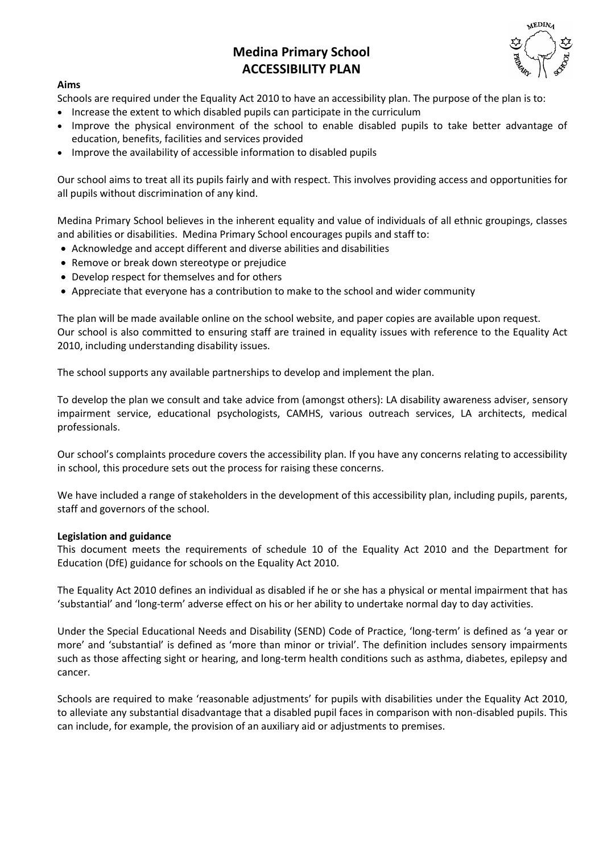# **Medina Primary School ACCESSIBILITY PLAN**

#### **Aims**

Schools are required under the Equality Act 2010 to have an accessibility plan. The purpose of the plan is to:

- Increase the extent to which disabled pupils can participate in the curriculum
- Improve the physical environment of the school to enable disabled pupils to take better advantage of education, benefits, facilities and services provided
- Improve the availability of accessible information to disabled pupils

Our school aims to treat all its pupils fairly and with respect. This involves providing access and opportunities for all pupils without discrimination of any kind.

Medina Primary School believes in the inherent equality and value of individuals of all ethnic groupings, classes and abilities or disabilities. Medina Primary School encourages pupils and staff to:

- Acknowledge and accept different and diverse abilities and disabilities
- Remove or break down stereotype or prejudice
- Develop respect for themselves and for others
- Appreciate that everyone has a contribution to make to the school and wider community

The plan will be made available online on the school website, and paper copies are available upon request. Our school is also committed to ensuring staff are trained in equality issues with reference to the Equality Act 2010, including understanding disability issues.

The school supports any available partnerships to develop and implement the plan.

To develop the plan we consult and take advice from (amongst others): LA disability awareness adviser, sensory impairment service, educational psychologists, CAMHS, various outreach services, LA architects, medical professionals.

Our school's complaints procedure covers the accessibility plan. If you have any concerns relating to accessibility in school, this procedure sets out the process for raising these concerns.

We have included a range of stakeholders in the development of this accessibility plan, including pupils, parents, staff and governors of the school.

#### **Legislation and guidance**

This document meets the requirements of schedule 10 of the Equality Act 2010 and the Department for Education (DfE) guidance for schools on the Equality Act 2010.

The Equality Act 2010 defines an individual as disabled if he or she has a physical or mental impairment that has 'substantial' and 'long-term' adverse effect on his or her ability to undertake normal day to day activities.

Under the Special Educational Needs and Disability (SEND) Code of Practice, 'long-term' is defined as 'a year or more' and 'substantial' is defined as 'more than minor or trivial'. The definition includes sensory impairments such as those affecting sight or hearing, and long-term health conditions such as asthma, diabetes, epilepsy and cancer.

Schools are required to make 'reasonable adjustments' for pupils with disabilities under the Equality Act 2010, to alleviate any substantial disadvantage that a disabled pupil faces in comparison with non-disabled pupils. This can include, for example, the provision of an auxiliary aid or adjustments to premises.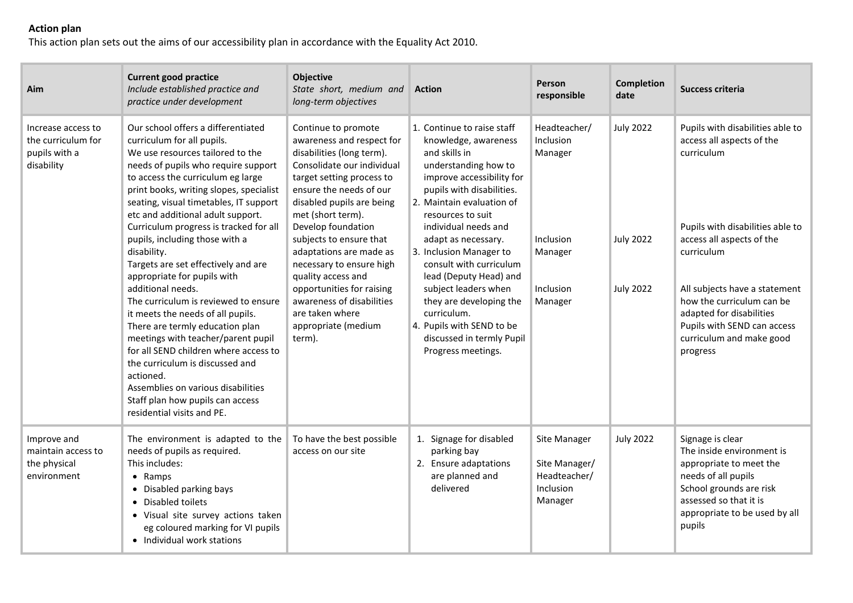## **Action plan**

This action plan sets out the aims of our accessibility plan in accordance with the Equality Act 2010.

| Aim                                                                     | <b>Current good practice</b><br>Include established practice and<br>practice under development                                                                                                                                                                                                                                                                                                                                                                                                                                            | Objective<br>State short, medium and<br>long-term objectives                                                                                                                                                                             | <b>Action</b>                                                                                                                                                                                                                                                                 | <b>Person</b><br>responsible                                          | Completion<br>date                   | Success criteria                                                                                                                                                                                                                             |
|-------------------------------------------------------------------------|-------------------------------------------------------------------------------------------------------------------------------------------------------------------------------------------------------------------------------------------------------------------------------------------------------------------------------------------------------------------------------------------------------------------------------------------------------------------------------------------------------------------------------------------|------------------------------------------------------------------------------------------------------------------------------------------------------------------------------------------------------------------------------------------|-------------------------------------------------------------------------------------------------------------------------------------------------------------------------------------------------------------------------------------------------------------------------------|-----------------------------------------------------------------------|--------------------------------------|----------------------------------------------------------------------------------------------------------------------------------------------------------------------------------------------------------------------------------------------|
| Increase access to<br>the curriculum for<br>pupils with a<br>disability | Our school offers a differentiated<br>curriculum for all pupils.<br>We use resources tailored to the<br>needs of pupils who require support<br>to access the curriculum eg large<br>print books, writing slopes, specialist<br>seating, visual timetables, IT support<br>etc and additional adult support.                                                                                                                                                                                                                                | Continue to promote<br>awareness and respect for<br>disabilities (long term).<br>Consolidate our individual<br>target setting process to<br>ensure the needs of our<br>disabled pupils are being<br>met (short term).                    | 1. Continue to raise staff<br>knowledge, awareness<br>and skills in<br>understanding how to<br>improve accessibility for<br>pupils with disabilities.<br>2. Maintain evaluation of<br>resources to suit                                                                       | Headteacher/<br>Inclusion<br>Manager                                  | <b>July 2022</b>                     | Pupils with disabilities able to<br>access all aspects of the<br>curriculum                                                                                                                                                                  |
|                                                                         | Curriculum progress is tracked for all<br>pupils, including those with a<br>disability.<br>Targets are set effectively and are<br>appropriate for pupils with<br>additional needs.<br>The curriculum is reviewed to ensure<br>it meets the needs of all pupils.<br>There are termly education plan<br>meetings with teacher/parent pupil<br>for all SEND children where access to<br>the curriculum is discussed and<br>actioned.<br>Assemblies on various disabilities<br>Staff plan how pupils can access<br>residential visits and PE. | Develop foundation<br>subjects to ensure that<br>adaptations are made as<br>necessary to ensure high<br>quality access and<br>opportunities for raising<br>awareness of disabilities<br>are taken where<br>appropriate (medium<br>term). | individual needs and<br>adapt as necessary.<br>3. Inclusion Manager to<br>consult with curriculum<br>lead (Deputy Head) and<br>subject leaders when<br>they are developing the<br>curriculum.<br>4. Pupils with SEND to be<br>discussed in termly Pupil<br>Progress meetings. | Inclusion<br>Manager<br>Inclusion<br>Manager                          | <b>July 2022</b><br><b>July 2022</b> | Pupils with disabilities able to<br>access all aspects of the<br>curriculum<br>All subjects have a statement<br>how the curriculum can be<br>adapted for disabilities<br>Pupils with SEND can access<br>curriculum and make good<br>progress |
| Improve and<br>maintain access to<br>the physical<br>environment        | The environment is adapted to the<br>needs of pupils as required.<br>This includes:<br>• Ramps<br>• Disabled parking bays<br>• Disabled toilets<br>• Visual site survey actions taken<br>eg coloured marking for VI pupils<br>• Individual work stations                                                                                                                                                                                                                                                                                  | To have the best possible<br>access on our site                                                                                                                                                                                          | 1. Signage for disabled<br>parking bay<br>2. Ensure adaptations<br>are planned and<br>delivered                                                                                                                                                                               | Site Manager<br>Site Manager/<br>Headteacher/<br>Inclusion<br>Manager | <b>July 2022</b>                     | Signage is clear<br>The inside environment is<br>appropriate to meet the<br>needs of all pupils<br>School grounds are risk<br>assessed so that it is<br>appropriate to be used by all<br>pupils                                              |